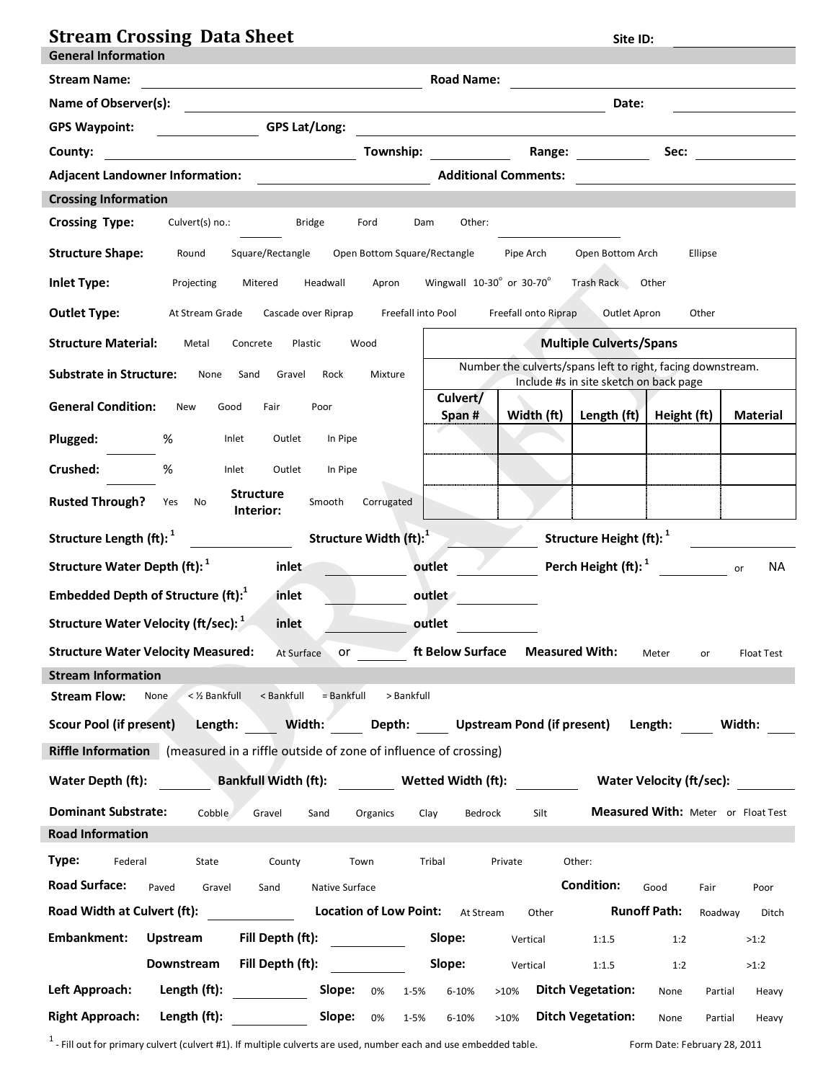| <b>Stream Crossing Data Sheet</b>                                                                                                                                  | Site ID:                                                                                                                                                                                                                                                                                 |
|--------------------------------------------------------------------------------------------------------------------------------------------------------------------|------------------------------------------------------------------------------------------------------------------------------------------------------------------------------------------------------------------------------------------------------------------------------------------|
| <b>General Information</b>                                                                                                                                         | <b>Road Name:</b>                                                                                                                                                                                                                                                                        |
| <b>Stream Name:</b><br><u> 1980 - Johann Barn, mars eta bainar eta baina eta baina eta baina eta baina eta baina eta baina eta baina e</u><br>Name of Observer(s): | Date:                                                                                                                                                                                                                                                                                    |
| <b>GPS Lat/Long:</b><br><b>GPS Waypoint:</b>                                                                                                                       |                                                                                                                                                                                                                                                                                          |
| Township:<br>County:                                                                                                                                               | <u> 1989 - Jan Sterling Sterling (d. 1989)</u><br>Sec:<br>Range: and the state of the state of the state of the state of the state of the state of the state of the state of the state of the state of the state of the state of the state of the state of the state of the state of the |
| <b>Adjacent Landowner Information:</b>                                                                                                                             | <b>Additional Comments:</b>                                                                                                                                                                                                                                                              |
| <b>Crossing Information</b>                                                                                                                                        |                                                                                                                                                                                                                                                                                          |
| <b>Crossing Type:</b><br>Culvert(s) no.:<br><b>Bridge</b><br>Ford                                                                                                  | Other:<br>Dam                                                                                                                                                                                                                                                                            |
| <b>Structure Shape:</b><br>Square/Rectangle<br>Open Bottom Square/Rectangle<br>Round                                                                               | Pipe Arch<br>Ellipse<br>Open Bottom Arch                                                                                                                                                                                                                                                 |
| <b>Inlet Type:</b><br>Headwall<br>Apron<br>Projecting<br>Mitered                                                                                                   | Wingwall $10-30^\circ$ or 30-70 $^\circ$<br>Trash Rack Other                                                                                                                                                                                                                             |
| <b>Outlet Type:</b><br>Freefall into Pool<br>At Stream Grade<br>Cascade over Riprap                                                                                | Freefall onto Riprap<br>Outlet Apron<br>Other                                                                                                                                                                                                                                            |
| <b>Structure Material:</b><br>Metal<br>Concrete<br>Plastic<br>Wood                                                                                                 | <b>Multiple Culverts/Spans</b>                                                                                                                                                                                                                                                           |
| <b>Substrate in Structure:</b><br>None<br>Sand<br>Gravel<br>Rock<br>Mixture                                                                                        | Number the culverts/spans left to right, facing downstream.<br>Include #s in site sketch on back page                                                                                                                                                                                    |
| <b>General Condition:</b><br>New<br>Fair<br>Good<br>Poor                                                                                                           | Culvert/<br>Width (ft)<br>Length (ft)<br>Height (ft)<br><b>Material</b><br>Span#                                                                                                                                                                                                         |
| Plugged:<br>%<br>Outlet<br>In Pipe<br>Inlet                                                                                                                        |                                                                                                                                                                                                                                                                                          |
| Crushed:<br>%<br>Inlet<br>Outlet<br>In Pipe                                                                                                                        |                                                                                                                                                                                                                                                                                          |
| <b>Structure</b><br><b>Rusted Through?</b><br>Yes<br>No<br>Smooth<br>Corrugated<br>Interior:                                                                       |                                                                                                                                                                                                                                                                                          |
| Structure Length (ft): <sup>1</sup><br>Structure Width (ft): <sup>1</sup>                                                                                          | Structure Height (ft): <sup>1</sup>                                                                                                                                                                                                                                                      |
| Structure Water Depth (ft): <sup>1</sup><br>inlet                                                                                                                  | Perch Height (ft): <sup>1</sup><br>outlet<br>NA.<br>or                                                                                                                                                                                                                                   |
| Embedded Depth of Structure (ft): <sup>1</sup><br>inlet                                                                                                            | outlet                                                                                                                                                                                                                                                                                   |
| Structure Water Velocity (ft/sec): <sup>1</sup><br>inlet                                                                                                           | outlet                                                                                                                                                                                                                                                                                   |
| <b>Structure Water Velocity Measured:</b><br>or the control<br>At Surface                                                                                          | ft Below Surface<br><b>Measured With:</b><br><b>Float Test</b><br>Meter<br>or                                                                                                                                                                                                            |
| <b>Stream Information</b>                                                                                                                                          |                                                                                                                                                                                                                                                                                          |
| <b>Stream Flow:</b><br>< 1/2 Bankfull<br>< Bankfull<br>$=$ Bankfull<br>> Bankfull<br>None                                                                          |                                                                                                                                                                                                                                                                                          |
| Width:<br>Length:<br><b>Scour Pool (if present)</b>                                                                                                                | Depth: Upstream Pond (if present) Length:<br>Width:                                                                                                                                                                                                                                      |
| <b>Riffle Information</b> (measured in a riffle outside of zone of influence of crossing)                                                                          |                                                                                                                                                                                                                                                                                          |
| Water Depth (ft):                                                                                                                                                  | Bankfull Width (ft): Wetted Width (ft): Water Velocity (ft/sec):                                                                                                                                                                                                                         |
| <b>Dominant Substrate:</b><br>Cobble<br>Gravel<br>Sand<br>Organics                                                                                                 | Measured With: Meter or Float Test<br>Silt<br>Clay<br>Bedrock                                                                                                                                                                                                                            |
| <b>Road Information</b>                                                                                                                                            |                                                                                                                                                                                                                                                                                          |
| Type:<br>Federal<br>State<br>County<br>Town                                                                                                                        | Tribal<br>Private<br>Other:                                                                                                                                                                                                                                                              |
| <b>Road Surface:</b><br>Paved<br>Gravel<br>Sand<br>Native Surface                                                                                                  | <b>Condition:</b><br>Good<br>Fair<br>Poor                                                                                                                                                                                                                                                |
| <b>Location of Low Point:</b><br>Road Width at Culvert (ft):                                                                                                       | <b>Runoff Path:</b><br>At Stream<br>Other<br>Roadway<br>Ditch                                                                                                                                                                                                                            |
| Embankment:<br>Fill Depth (ft):<br><b>Upstream</b>                                                                                                                 | Slope:<br>Vertical<br>1:1.5<br>1:2<br>>1:2                                                                                                                                                                                                                                               |
| Downstream<br>Fill Depth (ft):                                                                                                                                     | Slope:<br>Vertical<br>1:1.5<br>1:2<br>>1:2                                                                                                                                                                                                                                               |
| Left Approach:<br>Length (ft):<br>Slope:<br>0%<br>$1 - 5%$                                                                                                         | <b>Ditch Vegetation:</b><br>6-10%<br>>10%<br>None<br>Partial<br>Heavy                                                                                                                                                                                                                    |
| <b>Right Approach:</b><br>Slope: $0\%$<br>Length (ft):<br>1-5%                                                                                                     | <b>Ditch Vegetation:</b><br>6-10%<br>>10%<br>None<br>Partial<br>Heavy                                                                                                                                                                                                                    |

 $<sup>1</sup>$  - Fill out for primary culvert (culvert #1). If multiple culverts are used, number each and use embedded table.  $\blacksquare$  Form Date: February 28, 2011</sup>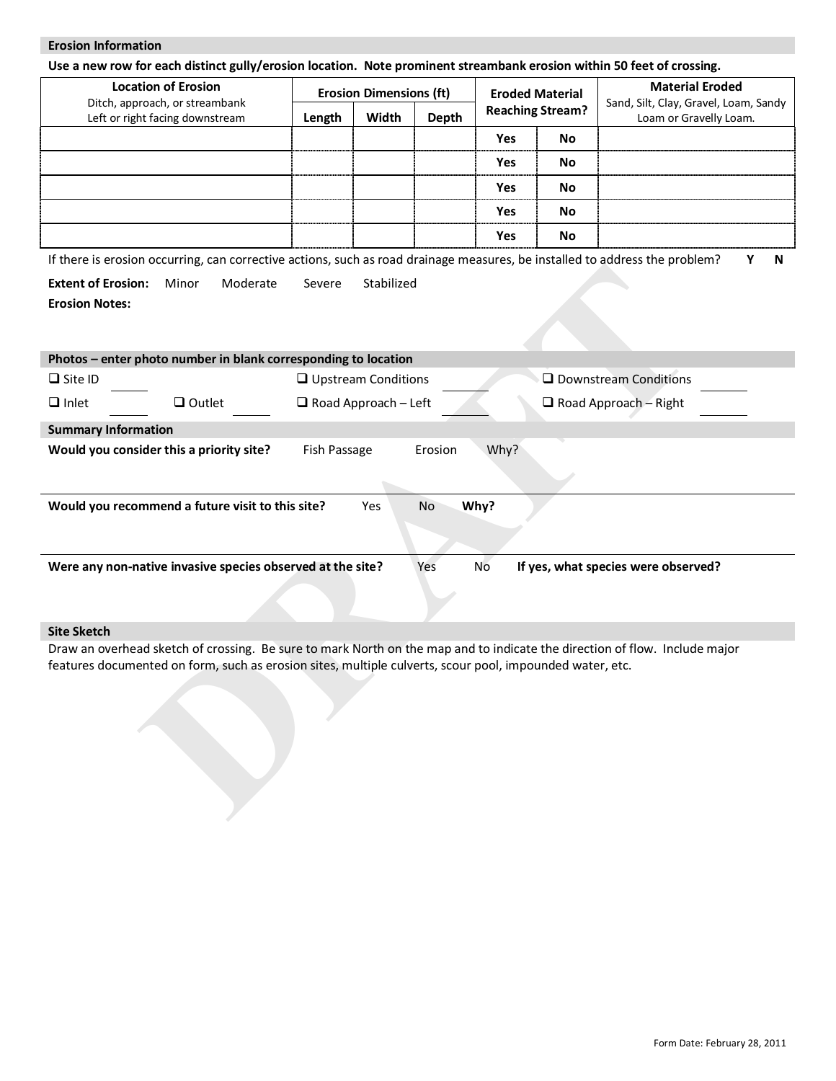## **Erosion Information**

**Use a new row for each distinct gully/erosion location. Note prominent streambank erosion within 50 feet of crossing.**

| <b>Location of Erosion</b><br>Ditch, approach, or streambank<br>Left or right facing downstream | <b>Erosion Dimensions (ft)</b><br>Width<br>Depth<br>Length |  | <b>Eroded Material</b><br><b>Reaching Stream?</b> |     | <b>Material Eroded</b><br>Sand, Silt, Clay, Gravel, Loam, Sandy<br>Loam or Gravelly Loam. |  |
|-------------------------------------------------------------------------------------------------|------------------------------------------------------------|--|---------------------------------------------------|-----|-------------------------------------------------------------------------------------------|--|
|                                                                                                 |                                                            |  |                                                   | Yes | No                                                                                        |  |
|                                                                                                 |                                                            |  |                                                   | Yes | No                                                                                        |  |
|                                                                                                 |                                                            |  |                                                   | Yes | No                                                                                        |  |
|                                                                                                 |                                                            |  |                                                   | Yes | No                                                                                        |  |
|                                                                                                 |                                                            |  |                                                   | Yes | No                                                                                        |  |

If there is erosion occurring, can corrective actions, such as road drainage measures, be installed to address the problem? **Y N**

| <b>Extent of Erosion: Minor</b> | Moderate | Severe Stabilized |
|---------------------------------|----------|-------------------|
| <b>Erosion Notes:</b>           |          |                   |

|                                                                                                          |                                                                |                             |                  |      | $30000$ as road aramage measares, be mstaned to dadi ess                                                                   |
|----------------------------------------------------------------------------------------------------------|----------------------------------------------------------------|-----------------------------|------------------|------|----------------------------------------------------------------------------------------------------------------------------|
| <b>Extent of Erosion:</b><br><b>Erosion Notes:</b>                                                       | Moderate<br>Minor                                              | Severe                      | Stabilized       |      |                                                                                                                            |
|                                                                                                          |                                                                |                             |                  |      |                                                                                                                            |
|                                                                                                          | Photos - enter photo number in blank corresponding to location |                             |                  |      |                                                                                                                            |
| $\Box$ Site ID                                                                                           |                                                                | $\Box$ Upstream Conditions  |                  |      | □ Downstream Conditions                                                                                                    |
| $\Box$ Inlet                                                                                             | $\Box$ Outlet                                                  | $\Box$ Road Approach - Left |                  |      | $\Box$ Road Approach - Right                                                                                               |
| <b>Summary Information</b>                                                                               |                                                                |                             |                  |      |                                                                                                                            |
|                                                                                                          | Would you consider this a priority site?                       | Fish Passage                | Erosion          | Why? |                                                                                                                            |
|                                                                                                          |                                                                |                             |                  |      |                                                                                                                            |
|                                                                                                          | Would you recommend a future visit to this site?               |                             | <b>No</b><br>Yes | Why? |                                                                                                                            |
|                                                                                                          |                                                                |                             |                  |      |                                                                                                                            |
|                                                                                                          |                                                                |                             |                  |      |                                                                                                                            |
|                                                                                                          | Were any non-native invasive species observed at the site?     |                             | Yes              | No   | If yes, what species were observed?                                                                                        |
|                                                                                                          |                                                                |                             |                  |      |                                                                                                                            |
|                                                                                                          |                                                                |                             |                  |      |                                                                                                                            |
| <b>Site Sketch</b>                                                                                       |                                                                |                             |                  |      |                                                                                                                            |
|                                                                                                          |                                                                |                             |                  |      | Draw an overhead sketch of crossing. Be sure to mark North on the map and to indicate the direction of flow. Include major |
| features documented on form, such as erosion sites, multiple culverts, scour pool, impounded water, etc. |                                                                |                             |                  |      |                                                                                                                            |
|                                                                                                          |                                                                |                             |                  |      |                                                                                                                            |
|                                                                                                          |                                                                |                             |                  |      |                                                                                                                            |
|                                                                                                          |                                                                |                             |                  |      |                                                                                                                            |
|                                                                                                          |                                                                |                             |                  |      |                                                                                                                            |
|                                                                                                          |                                                                |                             |                  |      |                                                                                                                            |
|                                                                                                          |                                                                |                             |                  |      |                                                                                                                            |
|                                                                                                          |                                                                |                             |                  |      |                                                                                                                            |

## **Site Sketch**